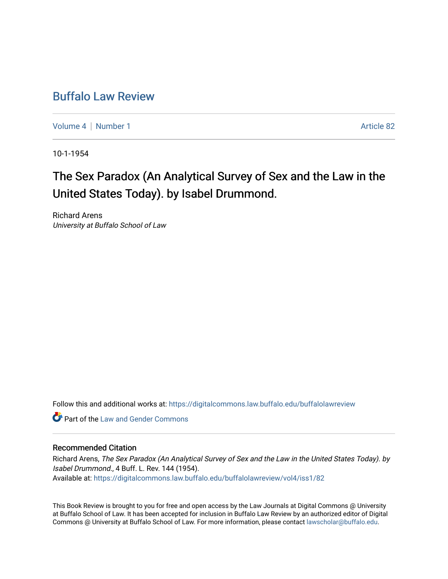## [Buffalo Law Review](https://digitalcommons.law.buffalo.edu/buffalolawreview)

[Volume 4](https://digitalcommons.law.buffalo.edu/buffalolawreview/vol4) | [Number 1](https://digitalcommons.law.buffalo.edu/buffalolawreview/vol4/iss1) Article 82

10-1-1954

# The Sex Paradox (An Analytical Survey of Sex and the Law in the United States Today). by Isabel Drummond.

Richard Arens University at Buffalo School of Law

Follow this and additional works at: [https://digitalcommons.law.buffalo.edu/buffalolawreview](https://digitalcommons.law.buffalo.edu/buffalolawreview?utm_source=digitalcommons.law.buffalo.edu%2Fbuffalolawreview%2Fvol4%2Fiss1%2F82&utm_medium=PDF&utm_campaign=PDFCoverPages) 

**C** Part of the Law and Gender Commons

### Recommended Citation

Richard Arens, The Sex Paradox (An Analytical Survey of Sex and the Law in the United States Today). by Isabel Drummond., 4 Buff. L. Rev. 144 (1954). Available at: [https://digitalcommons.law.buffalo.edu/buffalolawreview/vol4/iss1/82](https://digitalcommons.law.buffalo.edu/buffalolawreview/vol4/iss1/82?utm_source=digitalcommons.law.buffalo.edu%2Fbuffalolawreview%2Fvol4%2Fiss1%2F82&utm_medium=PDF&utm_campaign=PDFCoverPages) 

This Book Review is brought to you for free and open access by the Law Journals at Digital Commons @ University at Buffalo School of Law. It has been accepted for inclusion in Buffalo Law Review by an authorized editor of Digital Commons @ University at Buffalo School of Law. For more information, please contact [lawscholar@buffalo.edu](mailto:lawscholar@buffalo.edu).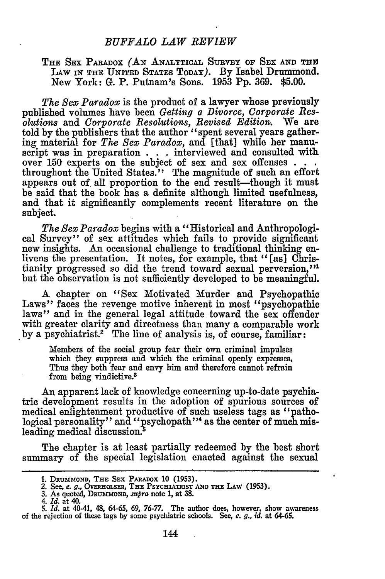#### *BUFFALO LAW REVIEW*

#### THE SEX PARADOX (AN ANALYTICAL SURVEY OF SEX AND THE LAW **IN THE UNrrED** STATES TODAY). By Isabel Drummond. New York: **G.** P. Putnam's Sons. **1953 Pp. 369. \$5.00.**

*The Sex Paradox* is the product of a lawyer whose previously published volumes have been *Getting a Divorce, Corporate Resolutias* and *Corporate Resolutions, Revised Edition.* We are told by the publishers that the author "spent several years gathering material for *The Sex Paradox,* and [that] while her manuscript was in preparation . . . interviewed and consulted with over 150 experts on the subject of sex and sex offenses . . . throughout the United States." The magnitude of such an effort appears out of, all proportion to the end result-though it must be said that the book has a definite although limited usefulness, and that it significantly complements recent literature on the subject.

*The Sex Paradox* begins with a "Historical and Anthropological Survey" of sex attitudes which fails to provide significant new insights. An occasional challenge to traditional thinking enlivens the presentation. It notes, for example, that "[as] Christianity progressed so did the trend toward sexual perversion," but the observation is not sufficiently developed to be meaningful.

A chapter on "Sex Motivated Murder and Psychopathic Laws" faces the revenge motive inherent in most "psychopathic laws" and in the general legal attitude toward the sex offender with greater clarity and directness than many a comparable work **by** a psychiatrist.2 The line of analysis is, of course, familiar:

Members of the social group fear their own criminal impulses which they suppress and which the criminal openly expresses. Thus they both fear and envy him and therefore cannot refrain from being vindictive.<sup>3</sup>

An apparent lack of knowledge concerning up-to-date psychiatric development results in the adoption of spurious sources of medical enlightenment productive of such useless tags as "pathological personality" and "psychopath" as the center of much misleading medical discussion.'

The chapter is at least partially redeemed **by** the best short summary of the special legislation enacted against the sexual

**<sup>1.</sup> DRUmMOND, THE SEx PARADox 10 (1953).**

**<sup>2.</sup> See,** e. *g.,* **OvsRmOLsER, THE PSYCHIATRIST AND THE LAW (1953). 3. As quoted, DRumMOND,** supra **note 1, at 38.** *4. Id.* **at 40.**

<sup>5.</sup>  $\overline{1d}$ , at 40-41, 48, 64-65, 69, 76-77. The author does, however, show awareness of the rejection of these tags by some psychiatric schools. See, *e. g.*, *id.* at 64-65.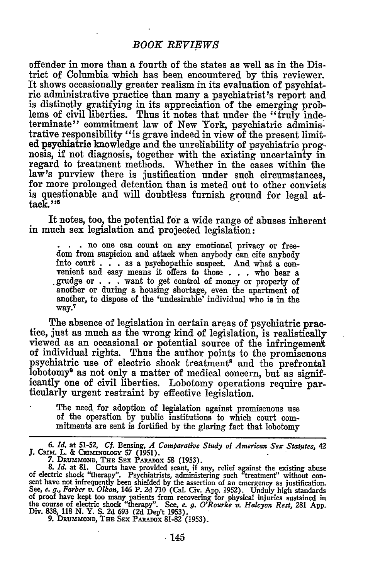#### *BOOK REVIEWS*

offender in more than a fourth of the states as well as in the District of Columbia which has been encountered by this reviewer.<br>It shows occasionally greater realism in its evaluation of psychiatric administrative practice than many a psychiatrist's report and is distinctly gratifying in its appreciation of the emerging problems of civil liberties. Thus it notes that under the "truly indeterminate" commitment law of New York, psychiatric administrative responsibility *"is* grave indeed in view of the present limited psychiatric knowledge and the unreliability of psychiatric prognosis, if not diagnosis, together with the existing uncertainty in regard to treatment methods. Whether in the cases within the law's purview there is justification under such circumstances, for more prolonged detention than is meted out to other convicts is questionable and will doubtless furnish ground for legal at- $\text{tack."}^8$ 

It notes, too, the potential for a wide range of abuses inherent in much sex legislation and projected legislation:

**,** no one can count on any emotional privacy or freedom from suspicion and attack when anybody can cite anybody into court . . **.**as a psychopathic suspect. And what a convenient and easy means it offers to those  $\ldots$  who bear a grudge or  $\ldots$  want to get control of money or property of another or during a housing shortage, even the apartment of another, to dispose of the 'undesirable' individual who is in the way.<sup>7</sup>

The absence of legislation in certain areas of psychiatric practice, just as much as the wrong kind of legislation, is realistically viewed as an occasional or potential source of the infringement of individual rights. Thus the author points to the promiscuous psychiatric use of electric shock treatment<sup>8</sup> and the prefrontal lobotomy9 as not only a matter of medical concern, but as significantly one of civil liberties. Lobotomy operations require particularly urgent restraint by effective legislation.

The need for adoption of legislation against promiscuous use of the operation **by** public institutions to which court commitments are sent is fortified **by** the glaring fact that lobotomy

*6. Id.* at **51-52,** *Cf.* Bensing, *A Comparative Study of American Sex Statutes,* 42 J. Cans. L. & CRimiNOLOGY 57 (1951).

7. **DRUMMOND,** THE **SEX PARADOX** 58 (1953). **8.** *Id.* at **81.** Courts have provided scant, if any, relief against the existing abuse of electric shock "therapy". Psychiatrists, administering such "treatment" without con-<br>sent have not infrequently been shielded by the assertion of an emergency as justification<br>See, e. g., Farber v. Olkon, 146 P. 2d 710 the course of electric shock "therapy". See, *e. g. O'Rourke v. Halcyon Rest,* **281** App. Div. 838, **118 N.** Y. S. 2d 693 (2d Dep't 1953).

**9. DRUMMOND, THE SEX** PARADOX 81-82 **(1953).**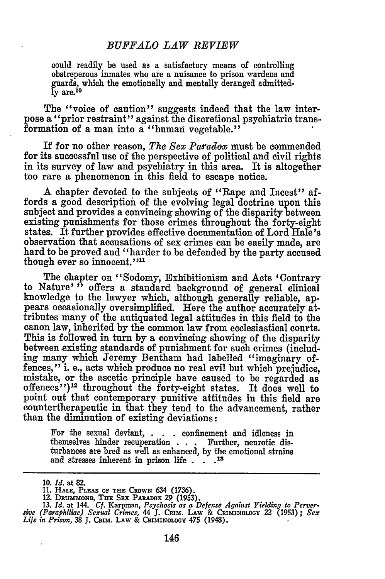could readily be used as a satisfactory means of controlling obstreperous inmates who are a nuisance to prison wardens and guards, which the emotionally and mentally deranged admitted**ly** are.10

The "voice of caution" suggests indeed that the law interpose a "prior restraint" against the discretional psychiatric transformation of a man into a "human vegetable."

**If** for no other reason, *The Sex Paradox* must be commended for its successful use of the perspective of political and civil rights in its survey of law and psychiatry in this area. It is altogether too rare a phenomenon in this field to escape notice.

A chapter devoted to the subjects of "Rape and Incest" affords a good description of the evolving legal doctrine upon this subject and provides a convincing showing of the disparity between existing punishments for those crimes throughout the forty-eight states. It further provides effective documentation of Lord Hale's observation that accusations of sex crimes can be easily made, are hard to be proved and "harder to be defended **by** the party accused though ever so innocent."<sup>11</sup>

The chapter on "Sodomy, Exhibitionism and Acts 'Contrary to Nature'<sup>"</sup> offers a standard background of general clinical knowledge to the lawyer which, although generally reliable, appears occasionally oversimplified. Here the author accurately attributes many of the antiquated legal attitudes in this field to the canon law, inherited **by** the common law from ecclesiastical courts. This is followed in turn **by** a convincing showing of the disparity between existing standards of punishment for such crimes (including many which Jeremy Bentham had labelled "imaginary offences," i. e., acts which produce no real evil but which prejudice, mistake, or the ascetic principle have caused to be regarded as offences")<sup>12</sup> throughout the forty-eight states. It does well to point out that contemporary punitive attitudes in this field are countertherapeutic in that they tend to the advancement, rather than the diminution of existing deviations:

For the sexual deviant, **. . .** confinement and idleness in themselves hinder recuperation **. . .** Further, neurotic disturbances are bred as well as enhanced, **by** the emotional strains and stresses inherent in prison life **. 18**

**<sup>10.</sup>** *Id.* **at 82.**

<sup>11.</sup> HALE, PLEAS OF THE CROWN 634 (1736).<br>12. Drummond, The Sex Paradox 29 (1953)

<sup>13.</sup> Id. at 144. Cf. Karpman, Psychosis as a Defense Against Yielding to Perversive (Paraphiliac) Sexual Crimes, 44 J. CRIM. LAW & CRIMINOLOGY 22 (1953); Sex Life in Prison, 38 J. CRIM. LAW & CRIMINOLOGY 475 (1948).